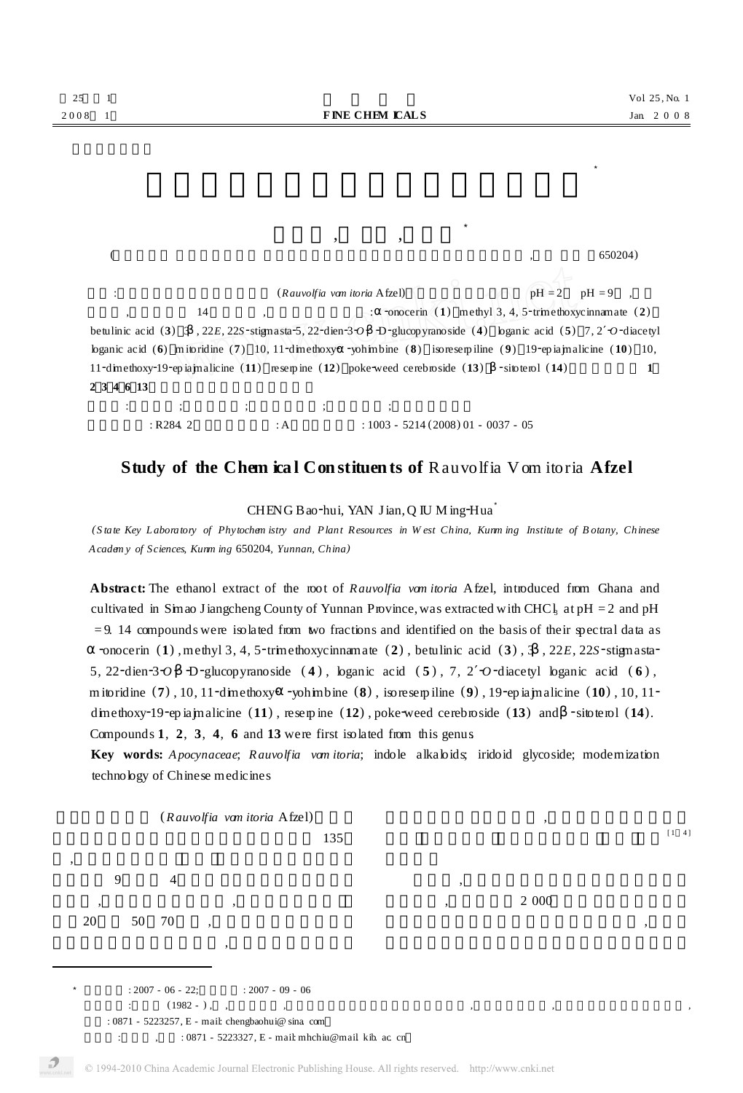25

2008

 $\mathbf{1}$ 

 $\mathbf{1}$ 

 $11 - 41$ 

650204)  $\overline{(}$ (Rauvolfia von itoria Afzel)  $pH = 2$  $pH = 9$  $\ddot{\cdot}$ 14 : -onocerin  $(1)$  methyl 3, 4, 5-trimethoxycinnamate  $(2)$ betulinic acid (3) 3, 22E, 22S-stigmasta-5, 22-dien-3-O - D-glucopyranoside (4) loganic acid (5) 7, 2 O-diacetyl bganic acid (6) mitoridine (7) 10, 11-dimethoxy-vohinbine (8) isoresemiline (9) 19-epiajnalicine (10) 10, 11-dimethoxy-19-epiajnalicine (11) reserpine (12) poke-weed cerebroside (13) -sitoterol (14)  $\mathbf{1}$ 2 3 4 6 13 :  $\cdot$ : R284.2  $: A$ :  $1003 - 5214(2008)01 - 0037 - 05$ 

## Study of the Chem ical Constituents of Rauvolfia Vom itoria Afzel

## CHENG Bao-hui, YAN Jian, O IU Ming-Hua<sup>\*</sup>

(State Key Laboratory of Phytochen istry and Plant Resources in West China, Kunming Institute of Botany, Chinese Academy of Sciences, Kunn ing 650204, Yunnan, China)

Abstract: The ethanol extract of the root of Rauvolfia van itoria Afzel, introduced from Ghana and cultivated in Simao Jiangcheng County of Yunnan Province, was extracted with CHC<sub>k</sub> at pH = 2 and pH  $=$  9.14 compounds were isolated from two fractions and identified on the basis of their spectral data as ronocerin (1), methyl 3, 4, 5-trinethoxycinnamate (2), betulinic acid (3), 3, 22E, 22S-stigmasta-5, 22-dien-3-0 - D-glucopyranoside (4), loganic acid (5), 7, 2-0-diacetyl loganic acid (6), mitoridine  $(7)$ , 10, 11-dimethoxy--yohimbine  $(8)$ , isoresempiline  $(9)$ , 19-epiajmalicine  $(10)$ , 10, 11dimethoxy-19-epiajnalicine  $(11)$ , resepine  $(12)$ , poke weed cerebroside  $(13)$  and -situation  $(14)$ . Compounds  $1, 2, 3, 4, 6$  and  $13$  were first isolated from this genus

Key words: Apocynaceae; Rauvolfia van itoria; indole alkabids; iridoid glycoside; modernization technology of Chinese medicines

(Rauvolfia van itoria Afzel)

135

9  $\overline{4}$ 2 000 20 50 70  $: 2007 - 06 - 22;$  $: 2007 - 09 - 06$  $(1982 - )$ , : 0871 - 5223257, E - mail: chengbaohui@ sina\_com : 0871 - 5223327, E - mail: mhchiu@mail kib. ac. cn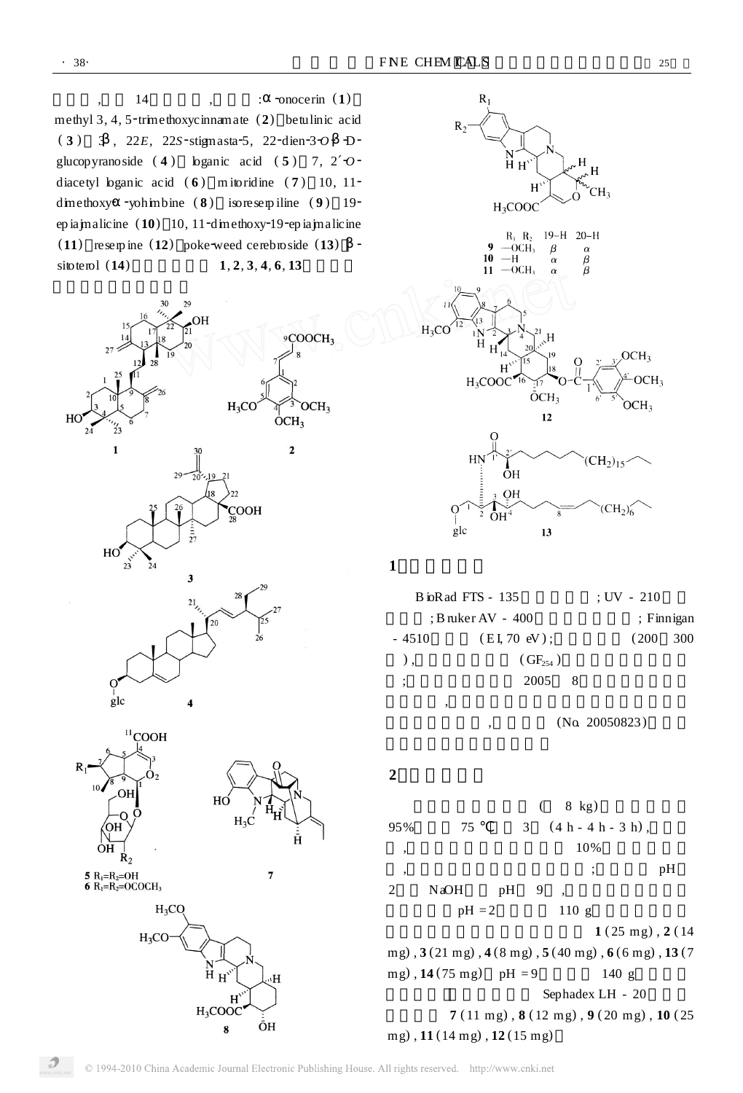$, 14$  , : **onocerin** (1) methyl 3, 4, 5<sup>-trimethoxyc</sup>innamate (2) betulinic acid  $(2)$  $(3)$  3, 22*E*, 22*S*-stigmasta-5, 22-dien-3 $O - D$ glucopyranoside (4) loganic acid (5) 7, 2 $-2$ diacetyl loganic acid  $(6)$  m itoridine  $(7)$  10, 11<sup>-</sup> dimethoxy-yohimbine (8) isoreserpiline (9) 19ep iajmalicine (10) 10, 11-dimethoxy-19-ep iajmalicine (**11**) resembrance (**12**) poke weed cerebroside (**13**) situation 1, 2, 3, 4, 6, 13 sitoterol (**14**) **1**, **2**, **3**, **4**, **6**, **13**







 $\boldsymbol{\beta}$ 



**1**

B ioRad FTS - 135 ; UV - 210 ; Bruker AV - 400 ; Finnigan  $-4510$  (EI, 70 eV); (200 300  $( \text{GF}_{254} )$ ; 2005 8 , (No. 20050823)

**2**

 $($  8 kg) 95% 75 3 (4 h - 4 h - 3 h) , , 10% ,  $\hspace{1.6cm}$  ;  $\hspace{1.6cm}$  pH 2 NaOH pH 9  $pH = 2$  110 g **1** ( 25 mg) , **2** ( 14 mg) , **3** (21 mg) , **4** (8 mg) , **5** (40 mg) , **6** (6 mg) , **13** (7 mg) , **14** (75 mg) pH = 9 140 g Sephadex LH - 20 **7** ( 11 mg) , **8** ( 12 mg) , **9** ( 20 mg) , **10** ( 25 mg) , **11** (14 mg) , **12** (15 mg)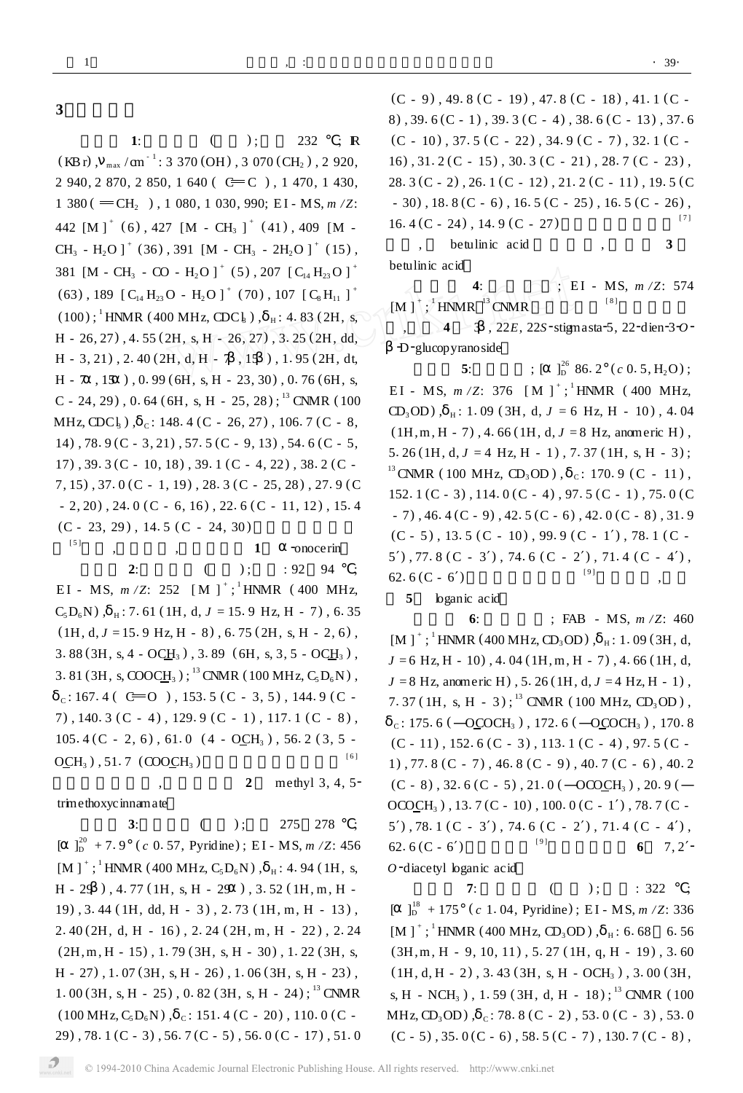**3**

1: ( ); 232 ; R  $(KBr)$ ,  $_{max}/cm^{-1}$ : 3 370 (OH), 3 070 (CH<sub>2</sub>), 2 920,  $2\,940, 2\,870, 2\,850, 1\,640$  (  $\text{C}$  C ), 1 470, 1 430,  $1\,380$  ( $=$  CH<sub>2</sub> ), 1 080, 1 030, 990; EI - MS, *m* /Z: 442  $[M]^{+}$  (6), 427  $[M - CH_3]^{+}$  (41), 409  $[M CH_3$  - H<sub>2</sub>O ]<sup>+</sup> (36), 391 [M - CH<sub>3</sub> - 2H<sub>2</sub>O ]<sup>+</sup> (15), 381  $[M - CH_3 - CO - H_2O]^{+}$  (5), 207  $[C_{14} H_{23} O]^{+}$  $(63)$ , 189  $[ C_{14} H_{23} O - H_2 O ]^+ (70)$ , 107  $[ C_8 H_{11} ]^+$  $(100)$ ; HNMR (400 MHz, CDC | ),  $_{\text{H}}$ : 4.83 (2H, s,  $_{\text{S}}$ )  $H - 26, 27$ , 4.55 (2H, s, H  $- 26, 27$ ), 3.25 (2H, dd, H - 3, 21), 2.40 (2H, d, H - 7, 15), 1.95 (2H, dt,  $H - 7$ , 15 ), 0.99 (6H, s, H - 23, 30), 0.76 (6H, s, C - 24, 29), 0.64 (6H, s, H - 25, 28); <sup>13</sup> CNMR (100 MHz, CDC<sub>l3</sub>), c: 148.4 (C - 26, 27), 106.7 (C - 8, 14), 78.9 (C - 3, 21), 57.5 (C - 9, 13), 54.6 (C - 5,  $17)$ , 39.3 (C - 10, 18), 39.1 (C - 4, 22), 38.2 (C - $7, 15)$ , 37. 0 (C - 1, 19), 28. 3 (C - 25, 28), 27. 9 (C  $- 2, 20)$ , 24.0 (C  $- 6, 16)$ , 22.6 (C  $- 11, 12)$ , 15.4  $(C - 23, 29)$ , 14.5  $(C - 24, 30)$ 

[ 5 ] , , **<sup>1</sup>** <sup>2</sup>onocerin  $: 92 \quad 94$ EI - MS, *m* /Z: 252 [M ]<sup>+</sup>;<sup>1</sup>HNMR (400 MHz,  $C_5D_6N$ ,  $_H$ : 7.61 (1H, d,  $J = 15.9$  Hz, H - 7), 6.35  $(H, d, J = 15.9 \text{ Hz}, H - 8)$ , 6.75 (2H, s, H - 2, 6), 3.88 (3H, s, 4 - OCH<sub>3</sub>), 3.89 (6H, s, 3, 5 - OCH<sub>3</sub>), 3. 81 (3H, s, COOCH<sub>3</sub>); <sup>13</sup> CNMR (100 MHz, C<sub>5</sub>D<sub>6</sub>N),  $_{\rm c}$ : 167.4 ( **C**=O ), 153.5 (C - 3, 5), 144.9 (C -7), 140. 3 (C - 4), 129. 9 (C - 1), 117. 1 (C - 8), 105.4 (C - 2, 6), 61.0 (4 - OCH<sub>3</sub>), 56.2 (3, 5 - $OCH_3$ ), 51.7 (COOCH<sub>3</sub>) [ 6 ]

2 methyl  $3, 4, 5$ trimethoxycinnamate

**3**: ( ); 275 278 ;  $\left[\begin{array}{cc} \int_{D}^{20} +7.9^{\circ}$  (*c* 0.57, Pyridine); EI - MS, *m* /Z: 456  $[M]$ <sup>+</sup>;<sup>1</sup>HNMR (400 MHz, C<sub>5</sub>D<sub>6</sub>N), <sub>H</sub>: 4.94 (1H, s,  $H - 29$ ),  $4.77$  (1H, s,  $H - 29$ ),  $3.52$  (1H, m,  $H -$ 19), 3.44 ( 1H, dd, H - 3), 2.73 ( 1H, m, H - 13), 2.40 (2H, d, H - 16), 2.24 (2H, m, H - 22), 2.24  $(2H,m, H - 15)$ , 1.79 (3H, s, H - 30), 1.22 (3H, s,  $H - 27$ ),  $1.07$  (3H, s,  $H - 26$ ),  $1.06$  (3H, s,  $H - 23$ ), 1. 00 (3H, s, H - 25), 0. 82 (3H, s, H - 24); <sup>13</sup> CNMR  $(100 MHz, C_5 D_6 N)$ , c: 151.4 (C - 20), 110.0 (C -29), 78.  $1(C - 3)$ , 56.  $7(C - 5)$ , 56.  $0(C - 17)$ , 51. 0

 $(C - 9)$ , 49.8 $(C - 19)$ , 47.8 $(C - 18)$ , 41.1 $(C -$ 8),  $39.6(C - 1)$ ,  $39.3(C - 4)$ ,  $38.6(C - 13)$ ,  $37.6$  $(C - 10)$ , 37.5  $(C - 22)$ , 34.9  $(C - 7)$ , 32.1  $(C - 7)$  $16)$ ,  $31.2$  (C - 15),  $30.3$  (C - 21),  $28.7$  (C - 23), 28.3 (C - 2), 26.1 (C - 12), 21.2 (C - 11), 19.5 (C  $-30)$ , 18.8(C - 6), 16.5(C - 25), 16.5(C - 26),  $16.4$  (C - 24), 14.9 (C - 27) [ 7 ]

, betulinic acid , **3** betulinic acid

**4**: ; EI - MS, *m /Z*: 574  $[M]$ <sup>+</sup>;<sup>1</sup>HNMR<sup>13</sup>CNMR [ 8 ]

 $\frac{4}{3}$ , 22*E*, 22*S*-stigmasta-5, 22-dien-3-0- $-D$ -glucopyranoside<br>5:

**5**:  $[\int_{D}^{26} 86.2^{\circ} (c \cdot 0.5, H_2O);$ EI - MS,  $m/Z$ : 376 [M ]<sup>+</sup>;<sup>1</sup>HNMR (400 MHz,  $CD<sub>3</sub>OD)$ ,  $_{H}$ : 1.09 (3H, d,  $J = 6$  Hz, H - 10), 4.04  $(H, m, H - 7)$ , 4.66 (1H, d,  $J = 8$  Hz, anomeric H), 5. 26 (1H, d,  $J = 4$  Hz, H - 1), 7. 37 (1H, s, H - 3); <sup>13</sup> CNMR (100 MHz, CD<sub>3</sub>OD), c: 170.9 (C - 11), 152. 1 (C - 3), 114. 0 (C - 4), 97. 5 (C - 1), 75. 0 (C  $-7)$ , 46. 4 (C - 9), 42. 5 (C - 6), 42. 0 (C - 8), 31. 9  $(C - 5)$ , 13.5  $(C - 10)$ , 99.9  $(C - 1)$ , 78.1  $(C - 1)$  $5$ ), 77.8 (C - 3), 74.6 (C - 2), 71.4 (C - 4), 62.6 (C - 6)<br>5 bgani [ 9 ] ,

**5** loganic acid

**6**: ; FAB - MS, *m / Z*: 460  $[M]$ <sup>+</sup>;<sup>1</sup>HNMR (400 MHz, CD<sub>3</sub>OD), <sub>H</sub>: 1.09 (3H, d,  $J = 6$  Hz, H - 10), 4.04 (1H, m, H - 7), 4.66 (1H, d,  $J = 8$  Hz, anomeric H), 5.26 (1H, d,  $J = 4$  Hz, H - 1), 7. 37 ( 1H, s, H - 3 ) ; <sup>13</sup> CNMR ( 100 MHz, CD<sub>3</sub>OD),  $\frac{1}{2}$  (175.6 ( $\left(-\text{OCOCH}_3\right)$ , 172.6 ( $\left(-\text{OCOCH}_3\right)$ , 170.8  $(C - 11)$ , 152.6 $(C - 3)$ , 113.1 $(C - 4)$ , 97.5 $(C - 11)$ 1), 77. 8 (C - 7), 46. 8 (C - 9), 40. 7 (C - 6), 40. 2  $(C - 8)$ , 32.6  $(C - 5)$ , 21.0  $(-OCQCH_3)$ , 20.9  $(-\infty$  $OCOCH_3$ ), 13.7(C - 10), 100.0(C - 1), 78.7(C - $5$ ), 78.1(C - 3), 74.6(C - 2), 71.4(C - 4),  $62.6$  (C - 6) [ 9 ]  $7, 2 -$ 

*O* -diacetyl loganic acid<br>7:

 $($  );  $: 322$  ;  $\left[ \begin{array}{c} \n \end{array} \right]_0^{18} + 175^\circ$  (*c* 1. 04, Pyridine); EI - MS, *m* /*Z*: 336  $[M]$ <sup>+</sup>;<sup>1</sup>HNMR (400 MHz, CD<sub>3</sub>OD), <sub>H</sub>: 6.68 6.56  $(3H,m, H - 9, 10, 11)$ , 5.27 (1H, q, H - 19), 3.60 (1H, d, H - 2), 3.43 (3H, s, H - OCH<sub>3</sub>), 3.00 (3H, s, H - NCH<sub>3</sub>), 1.59 (3H, d, H - 18);<sup>13</sup> CNMR (100 MHz,  $CD_3OD$ ), c: 78.8 (C - 2), 53.0 (C - 3), 53.0  $(C - 5)$ , 35.0 $(C - 6)$ , 58.5 $(C - 7)$ , 130.7 $(C - 8)$ ,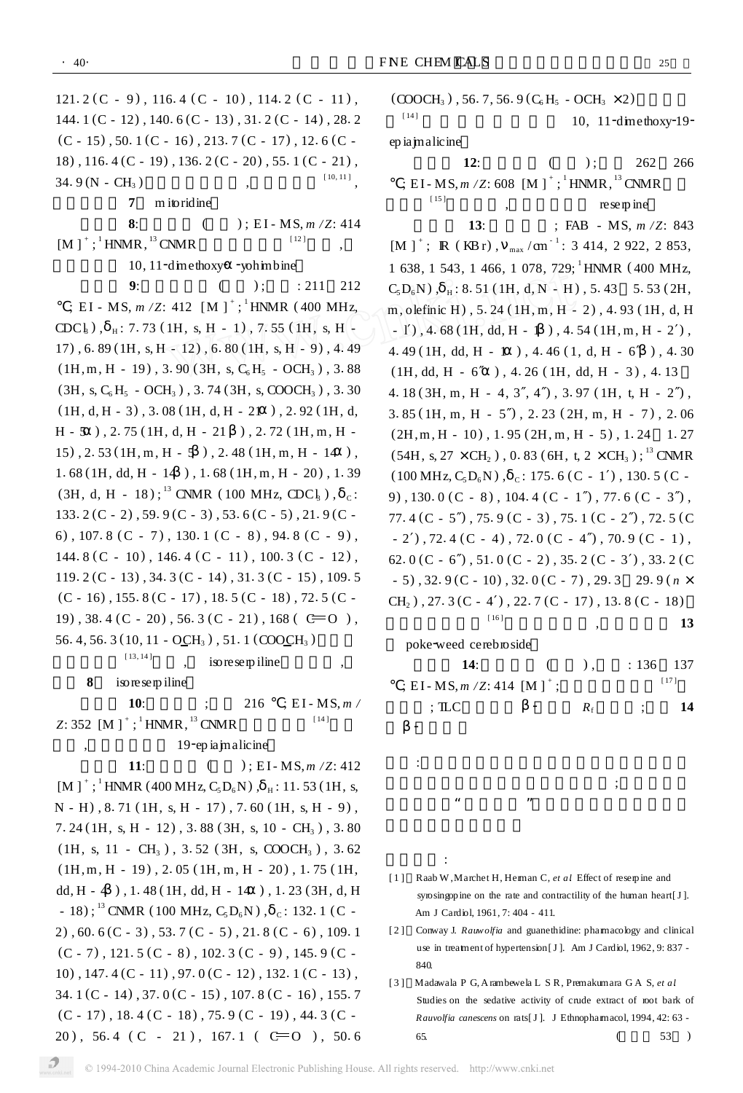$121.2 (C - 9), 116.4 (C - 10), 114.2 (C - 11),$ 144.  $1 (C - 12)$ , 140.  $6 (C - 13)$ , 31.  $2 (C - 14)$ , 28. 2  $(C - 15)$ , 50. 1 $(C - 16)$ , 213. 7 $(C - 17)$ , 12. 6 $(C 18)$ , 116. 4 (C - 19), 136. 2 (C - 20), 55. 1 (C - 21),  $[10, 11]$ 34.9( $N - CH_3$ )

> $\overline{7}$ m itoridine

 $8:$ ); EI - MS,  $m/Z$ : 414 (  $\left[\!\left[ \,12\,\right]\!\right]$  $[M]$ <sup>+</sup>;<sup>1</sup> HNMR,<sup>13</sup> CNMR

10, 11-dimethoxy- -yohimbine

 $9:$ (  $);$  $: 211$  212 ; EI - MS,  $m/Z$ : 412 [M ]<sup>+</sup>;<sup>1</sup>HNMR (400 MHz, CDCl<sub>3</sub>),  $_H$ : 7.73 (1H, s, H - 1), 7.55 (1H, s, H - $17)$ , 6.89 (1H, s, H - 12), 6.80 (1H, s, H - 9), 4.49  $(H, m, H - 19)$ , 3.90 (3H, s,  $C_6H_5$  - OCH<sub>3</sub>), 3.88  $(3H, s, C_6H_5 - OCH_3)$ , 3.74 $(3H, s, COOCH_3)$ , 3.30  $(H, d, H - 3)$ , 3.08  $(H, d, H - 21)$ , 2.92  $(H, d,$  $H - 5$ ), 2.75 (1H, d, H - 21), 2.72 (1H, m, H - $15)$ , 2.53 (1H, m, H - 5), 2.48 (1H, m, H - 14),  $1.68$  (1H, dd, H - 14),  $1.68$  (1H, m, H - 20), 1.39  $(3H, d, H - 18);$ <sup>13</sup> CNMR (100 MHz, CDC<sub>3</sub>), c: 133.2(C - 2), 59.9(C - 3), 53.6(C - 5), 21.9(C -6), 107.8 (C - 7), 130.1 (C - 8), 94.8 (C - 9), 144.8 (C - 10), 146.4 (C - 11), 100.3 (C - 12), 119.2(C - 13), 34.3(C - 14), 31.3(C - 15), 109.5  $(C - 16)$ , 155.8 $(C - 17)$ , 18.5 $(C - 18)$ , 72.5 $(C -$ 19), 38.4 (C - 20), 56.3 (C - 21), 168 ( $\epsilon$ =0), 56. 4, 56. 3 (10, 11 - OCH<sub>3</sub>), 51. 1 (COOCH<sub>3</sub>)  $[13, 14]$ 

isoresemiline

8 isoresemiline

 $10<sup>1</sup>$  $\mathbf{L}$ 216  $E = M S, m /$  $141$ Z: 352 [M ]<sup>+</sup>;<sup>1</sup> HNMR,<sup>13</sup> CNMR

19-epia malicine

 $; E I - MS, m / Z$ : 412  $11:$  $\left($ [M ]<sup>+</sup>;<sup>1</sup> HNMR (400 MHz,  $C_5D_6N$ ),  $_H: 11.53$  (1H, s,  $N - H$ ), 8.71 (1H, s, H - 17), 7.60 (1H, s, H - 9), 7.24 (1H, s, H - 12), 3.88 (3H, s, 10 - CH<sub>3</sub>), 3.80  $(H, s, 11 - CH_3)$ , 3.52 (3H, s, COOCH<sub>3</sub>), 3.62  $(H, m, H - 19)$ , 2.05  $(H, m, H - 20)$ , 1.75  $(H,$ dd, H - 4 ),  $1.48$  (1H, dd, H - 14 ),  $1.23$  (3H, d, H - 18);<sup>13</sup> CNMR (100 MHz, C<sub>5</sub>D<sub>6</sub>N), c: 132. 1 (C -2),  $60.6(C - 3)$ ,  $53.7(C - 5)$ ,  $21.8(C - 6)$ ,  $109.1$  $(C - 7)$ , 121.5  $(C - 8)$ , 102.3  $(C - 9)$ , 145.9  $(C - 1)$ 10),  $147.4(C - 11)$ ,  $97.0(C - 12)$ ,  $132.1(C - 13)$ , 34. 1 (C - 14), 37. 0 (C - 15), 107. 8 (C - 16), 155. 7  $(C - 17)$ , 18.4  $(C - 18)$ , 75.9  $(C - 19)$ , 44.3  $(C -$ 20), 56.4 (C - 21), 167.1 ( $\mathbb{C}$ =0), 50.6  $(COOCH<sub>3</sub>)$ , 56. 7, 56. 9 ( $C<sub>6</sub>H<sub>5</sub>$  - OCH<sub>3</sub>  $\times$  2)  $[14]$ 10. 11-dimethoxy-19-

epiainalicine

 $12:$  $\left($  $\cdot$ 262 266 ; EI-MS,  $m$  /Z: 608 [M ]<sup>+</sup>;<sup>1</sup> HNMR,<sup>13</sup> CNMR  $[15]$ re se m ine

 $13:$ ; FAB - MS,  $m/Z$ : 843 [M ]<sup>+</sup>; **R** (KB r),  $_{\text{max}}$ /cm<sup>-1</sup>: 3 414, 2 922, 2 853, 1 638, 1 543, 1 466, 1 078, 729; <sup>1</sup>HNMR (400 MHz,  $C_5D_6N$ ,  $_{\rm H}$ : 8.51 (1H, d, N - H), 5.43 5.53 (2H, m, olefinic H), 5.24 (1H, m, H - 2), 4.93 (1H, d, H  $-1$ , 4.68 (1H, dd, H - 1), 4.54 (1H, m, H - 2),  $4.49$  (1H, dd, H - 1),  $4.46$  (1, d, H - 6),  $4.30$  $(H, dd, H - 6)$ , 4.26  $(H, dd, H - 3)$ , 4.13  $4.18(3H, m, H - 4, 3, 4)$ ,  $3.97(1H, t, H - 2)$ ,  $3.85(1H, m, H - 5)$ ,  $2.23(2H, m, H - 7)$ ,  $2.06$  $(2H,m,H - 10)$ , 1.95  $(2H,m,H - 5)$ , 1.24 1.27  $(54H, s, 27 \times CH_2)$ , 0.83 (6H, t, 2  $\times CH_3$ ); <sup>13</sup> CNMR  $(100 \text{ MHz}, \text{C}_5\text{D}_6\text{N})$ , c: 175. 6 (C - 1), 130. 5 (C -9), 130.0 (C - 8), 104.4 (C - 1), 77.6 (C - 3), 77.4 (C - 5), 75.9 (C - 3), 75.1 (C - 2), 72.5 (C  $-2$ ), 72.4 (C - 4), 72.0 (C - 4), 70.9 (C - 1),  $62.0(C - 6)$ , 51.0(C - 2), 35.2(C - 3), 33.2(C  $-5$ ), 32.9(C - 10), 32.0(C - 7), 29.3 29.9( $n \times$  $\rm CH_2$  ) , 27. 3 (C - 4 ) , 22. 7 (C - 17) , 13. 8 (C - 18)  $[16]$ 

$$
\qquad \qquad , \qquad \qquad 13
$$

poke-weed cerebroside  $14:$  $),$  $: 136$ 137  $[17]$ ; EI-MS,  $m/Z$ : 414 [M]<sup>+</sup>;  $:$  TLC  $R_{\rm f}$ 14



- [2] Conway J. Rauw offia and guanethidine: pharmacology and clinical use in treatment of hypertension [J]. Am J Cardiol, 1962, 9:837 -840
- [3] Madawala P G, Arambewela L S R, Premakumara G A S, et al Studies on the sedative activity of crude extract of root bark of Rauvolfia canescens on rats[J]. J Ethnophamacol, 1994, 42: 63 - $53$ 65  $\left($